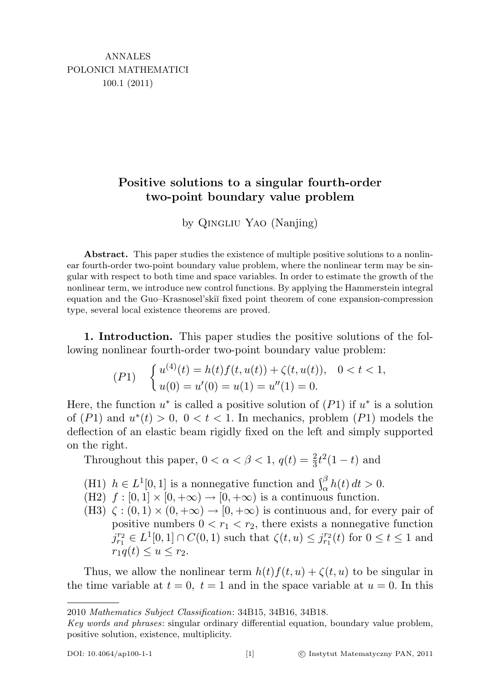## Positive solutions to a singular fourth-order two-point boundary value problem

by Qingliu Yao (Nanjing)

Abstract. This paper studies the existence of multiple positive solutions to a nonlinear fourth-order two-point boundary value problem, where the nonlinear term may be singular with respect to both time and space variables. In order to estimate the growth of the nonlinear term, we introduce new control functions. By applying the Hammerstein integral equation and the Guo–Krasnosel'ski˘ı fixed point theorem of cone expansion-compression type, several local existence theorems are proved.

1. Introduction. This paper studies the positive solutions of the following nonlinear fourth-order two-point boundary value problem:

$$
(P1) \quad \begin{cases} u^{(4)}(t) = h(t)f(t, u(t)) + \zeta(t, u(t)), & 0 < t < 1, \\ u(0) = u'(0) = u(1) = u''(1) = 0. \end{cases}
$$

Here, the function  $u^*$  is called a positive solution of  $(P1)$  if  $u^*$  is a solution of  $(P1)$  and  $u^*(t) > 0$ ,  $0 < t < 1$ . In mechanics, problem  $(P1)$  models the deflection of an elastic beam rigidly fixed on the left and simply supported on the right.

Throughout this paper,  $0 < \alpha < \beta < 1$ ,  $q(t) = \frac{2}{3}t^2(1-t)$  and

- (H1)  $h \in L^1[0,1]$  is a nonnegative function and  $\int_{\alpha}^{\beta} h(t) dt > 0$ .
- (H2)  $f : [0,1] \times [0,+\infty) \rightarrow [0,+\infty)$  is a continuous function.
- (H3)  $\zeta : (0,1) \times (0,+\infty) \to [0,+\infty)$  is continuous and, for every pair of positive numbers  $0 < r_1 < r_2$ , there exists a nonnegative function  $j_{r_1}^{r_2} \in L^1[0,1] \cap C(0,1)$  such that  $\zeta(t,u) \leq j_{r_1}^{r_2}(t)$  for  $0 \leq t \leq 1$  and  $r_1q(t) \le u \le r_2.$

Thus, we allow the nonlinear term  $h(t) f(t, u) + \zeta(t, u)$  to be singular in the time variable at  $t = 0$ ,  $t = 1$  and in the space variable at  $u = 0$ . In this

<sup>2010</sup> Mathematics Subject Classification: 34B15, 34B16, 34B18.

Key words and phrases: singular ordinary differential equation, boundary value problem, positive solution, existence, multiplicity.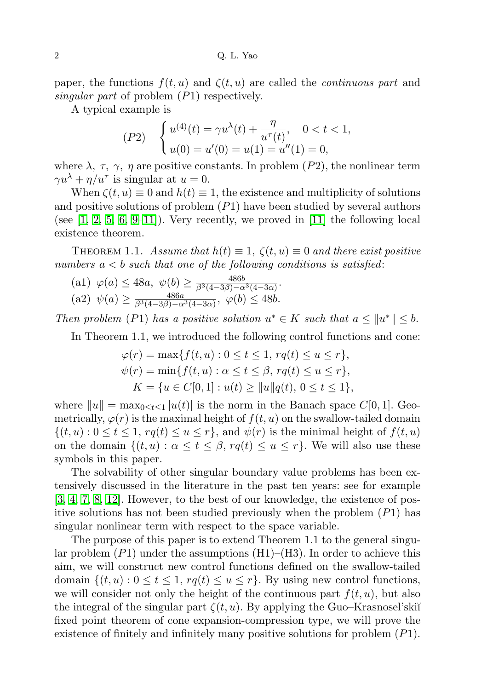paper, the functions  $f(t, u)$  and  $\zeta(t, u)$  are called the *continuous part* and singular part of problem  $(P1)$  respectively.

A typical example is

$$
(P2) \quad \begin{cases} u^{(4)}(t) = \gamma u^{\lambda}(t) + \frac{\eta}{u^{\tau}(t)}, \quad 0 < t < 1, \\ u(0) = u'(0) = u(1) = u''(1) = 0, \end{cases}
$$

where  $\lambda$ ,  $\tau$ ,  $\gamma$ ,  $\eta$  are positive constants. In problem (P2), the nonlinear term  $\gamma u^{\lambda} + \eta / u^{\tau}$  is singular at  $u = 0$ .

When  $\zeta(t, u) \equiv 0$  and  $h(t) \equiv 1$ , the existence and multiplicity of solutions and positive solutions of problem  $(P1)$  have been studied by several authors (see  $[1, 2, 5, 6, 9-11]$  $[1, 2, 5, 6, 9-11]$  $[1, 2, 5, 6, 9-11]$  $[1, 2, 5, 6, 9-11]$  $[1, 2, 5, 6, 9-11]$  $[1, 2, 5, 6, 9-11]$ ). Very recently, we proved in  $[11]$  the following local existence theorem.

THEOREM 1.1. Assume that  $h(t) \equiv 1$ ,  $\zeta(t, u) \equiv 0$  and there exist positive numbers  $a < b$  such that one of the following conditions is satisfied:

(a1)  $\varphi(a) \le 48a, \ \psi(b) \ge \frac{486b}{\beta^3(4-3\beta)-\alpha^3(4-3\alpha)}.$ (a2)  $\psi(a) \ge \frac{486a}{\beta^3(4-3\beta)-\alpha^3(4-3\alpha)}, \varphi(b) \le 48b.$ 

Then problem (P1) has a positive solution  $u^* \in K$  such that  $a \le ||u^*|| \le b$ .

In Theorem 1.1, we introduced the following control functions and cone:

$$
\varphi(r) = \max\{f(t, u) : 0 \le t \le 1, rq(t) \le u \le r\},\
$$
  

$$
\psi(r) = \min\{f(t, u) : \alpha \le t \le \beta, rq(t) \le u \le r\},\
$$
  

$$
K = \{u \in C[0, 1] : u(t) \ge ||u||q(t), 0 \le t \le 1\},\
$$

where  $||u|| = \max_{0 \le t \le 1} |u(t)|$  is the norm in the Banach space  $C[0, 1]$ . Geometrically,  $\varphi(r)$  is the maximal height of  $f(t, u)$  on the swallow-tailed domain  $\{(t, u): 0 \le t \le 1, rq(t) \le u \le r\}$ , and  $\psi(r)$  is the minimal height of  $f(t, u)$ on the domain  $\{(t, u) : \alpha \le t \le \beta, r q(t) \le u \le r\}$ . We will also use these symbols in this paper.

The solvability of other singular boundary value problems has been extensively discussed in the literature in the past ten years: see for example [\[3,](#page-11-6) [4,](#page-11-7) [7,](#page-11-8) [8,](#page-11-9) [12\]](#page-11-10). However, to the best of our knowledge, the existence of positive solutions has not been studied previously when the problem  $(P1)$  has singular nonlinear term with respect to the space variable.

The purpose of this paper is to extend Theorem 1.1 to the general singular problem  $(P1)$  under the assumptions  $(H1)$ – $(H3)$ . In order to achieve this aim, we will construct new control functions defined on the swallow-tailed domain  $\{(t, u): 0 \le t \le 1, r q(t) \le u \le r\}$ . By using new control functions, we will consider not only the height of the continuous part  $f(t, u)$ , but also the integral of the singular part  $\zeta(t, u)$ . By applying the Guo–Krasnosel'skiı̆ fixed point theorem of cone expansion-compression type, we will prove the existence of finitely and infinitely many positive solutions for problem  $(P1)$ .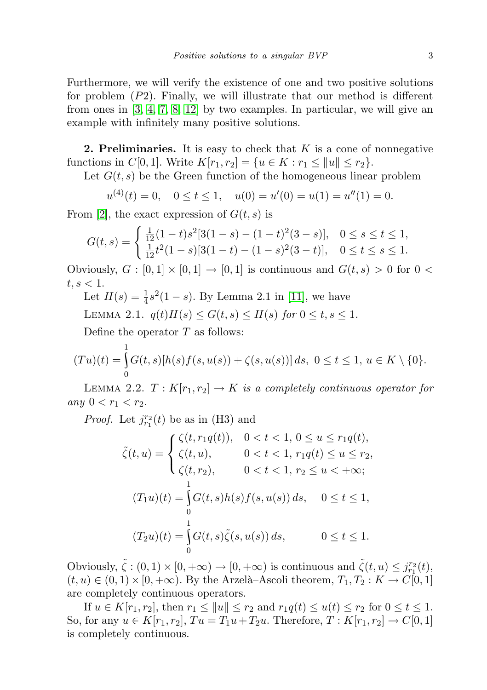Furthermore, we will verify the existence of one and two positive solutions for problem  $(P2)$ . Finally, we will illustrate that our method is different from ones in [\[3,](#page-11-6) [4,](#page-11-7) [7,](#page-11-8) [8,](#page-11-9) [12\]](#page-11-10) by two examples. In particular, we will give an example with infinitely many positive solutions.

**2. Preliminaries.** It is easy to check that  $K$  is a cone of nonnegative functions in  $C[0, 1]$ . Write  $K[r_1, r_2] = \{u \in K : r_1 \le ||u|| \le r_2\}.$ 

Let  $G(t, s)$  be the Green function of the homogeneous linear problem

 $u^{(4)}(t) = 0$ ,  $0 \le t \le 1$ ,  $u(0) = u'(0) = u(1) = u''(1) = 0$ .

From [\[2\]](#page-11-1), the exact expression of  $G(t, s)$  is

$$
G(t,s) = \begin{cases} \frac{1}{12}(1-t)s^2[3(1-s) - (1-t)^2(3-s)], & 0 \le s \le t \le 1, \\ \frac{1}{12}t^2(1-s)[3(1-t) - (1-s)^2(3-t)], & 0 \le t \le s \le 1. \end{cases}
$$

Obviously,  $G : [0,1] \times [0,1] \rightarrow [0,1]$  is continuous and  $G(t,s) > 0$  for  $0 <$  $t, s < 1.$ 

Let  $H(s) = \frac{1}{4}s^2(1-s)$ . By Lemma 2.1 in [\[11\]](#page-11-5), we have

LEMMA 2.1.  $q(t)H(s) \le G(t, s) \le H(s)$  for  $0 \le t, s \le 1$ .

Define the operator  $T$  as follows:

$$
(Tu)(t) = \int_{0}^{1} G(t,s)[h(s)f(s,u(s)) + \zeta(s,u(s))] ds, \ 0 \le t \le 1, \ u \in K \setminus \{0\}.
$$

LEMMA 2.2.  $T: K[r_1, r_2] \to K$  is a completely continuous operator for any  $0 < r_1 < r_2$ .

*Proof.* Let  $j_{r_1}^{r_2}(t)$  be as in (H3) and

$$
\tilde{\zeta}(t, u) = \begin{cases}\n\zeta(t, r_1 q(t)), & 0 < t < 1, 0 \le u \le r_1 q(t), \\
\zeta(t, u), & 0 < t < 1, r_1 q(t) \le u \le r_2, \\
\zeta(t, r_2), & 0 < t < 1, r_2 \le u < +\infty; \\
& 1 \\
(T_1 u)(t) = \int_0^1 G(t, s) h(s) f(s, u(s)) ds, & 0 \le t \le 1, \\
& 0 \\
(T_2 u)(t) = \int_0^1 G(t, s) \tilde{\zeta}(s, u(s)) ds, & 0 \le t \le 1.\n\end{cases}
$$

Obviously,  $\tilde{\zeta} : (0,1) \times [0,+\infty) \to [0,+\infty)$  is continuous and  $\tilde{\zeta}(t,u) \leq j_{r_1}^{r_2}(t)$ ,  $(t, u) \in (0, 1) \times [0, +\infty)$ . By the Arzelà-Ascoli theorem,  $T_1, T_2 : K \to C[0, 1]$ are completely continuous operators.

If  $u \in K[r_1, r_2]$ , then  $r_1 \le ||u|| \le r_2$  and  $r_1q(t) \le u(t) \le r_2$  for  $0 \le t \le 1$ . So, for any  $u \in K[r_1, r_2], Tu = T_1u + T_2u$ . Therefore,  $T : K[r_1, r_2] \to C[0, 1]$ is completely continuous.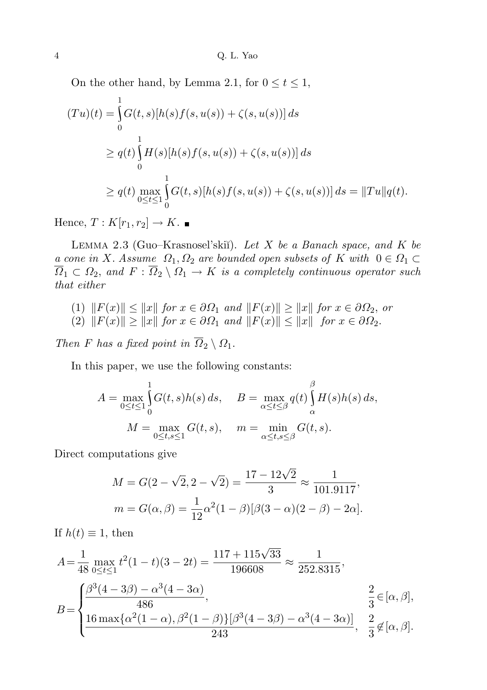On the other hand, by Lemma 2.1, for  $0 \le t \le 1$ ,

$$
(Tu)(t) = \int_{0}^{1} G(t, s)[h(s)f(s, u(s)) + \zeta(s, u(s))] ds
$$
  
\n
$$
\geq q(t) \int_{0}^{1} H(s)[h(s)f(s, u(s)) + \zeta(s, u(s))] ds
$$
  
\n
$$
\geq q(t) \max_{0 \leq t \leq 1} \int_{0}^{1} G(t, s)[h(s)f(s, u(s)) + \zeta(s, u(s))] ds = ||Tu||q(t).
$$

Hence,  $T: K[r_1, r_2] \to K$ .

LEMMA 2.3 (Guo–Krasnosel'skiĭ). Let  $X$  be a Banach space, and  $K$  be a cone in X. Assume  $\Omega_1, \Omega_2$  are bounded open subsets of K with  $0 \in \Omega_1 \subset$  $\overline{\Omega}_1 \subset \Omega_2$ , and  $F : \overline{\Omega}_2 \setminus \Omega_1 \to K$  is a completely continuous operator such that either

- (1)  $||F(x)|| \le ||x||$  for  $x \in \partial \Omega_1$  and  $||F(x)|| \ge ||x||$  for  $x \in \partial \Omega_2$ , or
- (2)  $||F(x)|| \ge ||x||$  for  $x \in \partial \Omega_1$  and  $||F(x)|| \le ||x||$  for  $x \in \partial \Omega_2$ .

Then F has a fixed point in  $\overline{\Omega}_2 \setminus \Omega_1$ .

In this paper, we use the following constants:

$$
A = \max_{0 \le t \le 1} \int_0^1 G(t, s)h(s) ds, \quad B = \max_{\alpha \le t \le \beta} q(t) \int_{\alpha}^{\beta} H(s)h(s) ds,
$$

$$
M = \max_{0 \le t, s \le 1} G(t, s), \quad m = \min_{\alpha \le t, s \le \beta} G(t, s).
$$

Direct computations give

$$
M = G(2 - \sqrt{2}, 2 - \sqrt{2}) = \frac{17 - 12\sqrt{2}}{3} \approx \frac{1}{101.9117},
$$
  

$$
m = G(\alpha, \beta) = \frac{1}{12}\alpha^2(1 - \beta)[\beta(3 - \alpha)(2 - \beta) - 2\alpha].
$$

If  $h(t) \equiv 1$ , then

$$
A = \frac{1}{48} \max_{0 \le t \le 1} t^2 (1 - t)(3 - 2t) = \frac{117 + 115\sqrt{33}}{196608} \approx \frac{1}{252.8315},
$$
  
\n
$$
B = \begin{cases} \frac{\beta^3 (4 - 3\beta) - \alpha^3 (4 - 3\alpha)}{486}, & \frac{2}{3} \in [\alpha, \beta], \\ \frac{16 \max\{\alpha^2 (1 - \alpha), \beta^2 (1 - \beta)\} [\beta^3 (4 - 3\beta) - \alpha^3 (4 - 3\alpha)]}{243}, & \frac{2}{3} \notin [\alpha, \beta]. \end{cases}
$$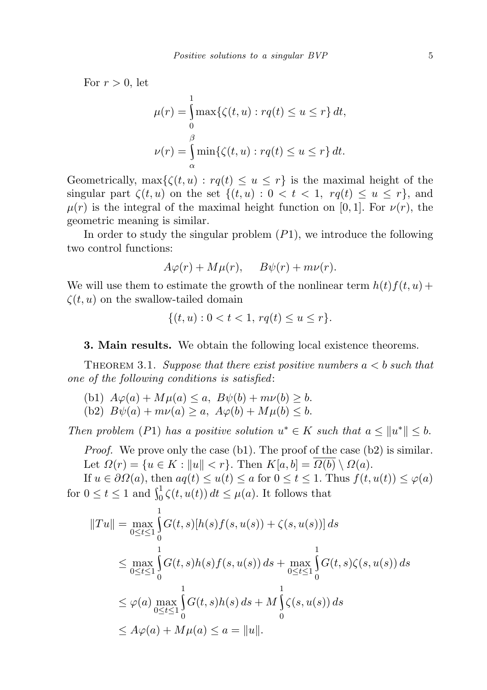For  $r > 0$ , let

$$
\mu(r) = \int_{0}^{\infty} \max \{ \zeta(t, u) : rq(t) \le u \le r \} dt,
$$
  

$$
\nu(r) = \int_{\alpha}^{\beta} \min \{ \zeta(t, u) : rq(t) \le u \le r \} dt.
$$

1

Geometrically,  $\max{\{\zeta(t, u): r(q(t)) \leq u \leq r\}}$  is the maximal height of the singular part  $\zeta(t, u)$  on the set  $\{(t, u): 0 < t < 1, r q(t) \le u \le r\}$ , and  $\mu(r)$  is the integral of the maximal height function on [0, 1]. For  $\nu(r)$ , the geometric meaning is similar.

In order to study the singular problem  $(P1)$ , we introduce the following two control functions:

$$
A\varphi(r) + M\mu(r), \quad B\psi(r) + m\nu(r).
$$

We will use them to estimate the growth of the nonlinear term  $h(t)f(t, u) +$  $\zeta(t, u)$  on the swallow-tailed domain

$$
\{(t, u) : 0 < t < 1, \, rq(t) \le u \le r\}.
$$

3. Main results. We obtain the following local existence theorems.

THEOREM 3.1. Suppose that there exist positive numbers  $a < b$  such that one of the following conditions is satisfied:

(b1)  $A\varphi(a) + M\mu(a) \leq a, B\psi(b) + m\nu(b) \geq b.$ (b2)  $B\psi(a) + m\nu(a) \ge a$ ,  $A\varphi(b) + M\mu(b) \le b$ .

Then problem (P1) has a positive solution  $u^* \in K$  such that  $a \leq ||u^*|| \leq b$ .

*Proof.* We prove only the case (b1). The proof of the case (b2) is similar. Let  $\Omega(r) = \{u \in K : ||u|| < r\}$ . Then  $K[a, b] = \overline{\Omega(b)} \setminus \Omega(a)$ .

If  $u \in \partial \Omega(a)$ , then  $aq(t) \le u(t) \le a$  for  $0 \le t \le 1$ . Thus  $f(t, u(t)) \le \varphi(a)$ for  $0 \le t \le 1$  and  $\int_0^1 \zeta(t, u(t)) dt \le \mu(a)$ . It follows that

$$
||Tu|| = \max_{0 \le t \le 1} \int_{0}^{1} G(t, s)[h(s)f(s, u(s)) + \zeta(s, u(s))] ds
$$
  
\n
$$
\le \max_{0 \le t \le 1} \int_{0}^{1} G(t, s)h(s)f(s, u(s)) ds + \max_{0 \le t \le 1} \int_{0}^{1} G(t, s)\zeta(s, u(s)) ds
$$
  
\n
$$
\le \varphi(a) \max_{0 \le t \le 1} \int_{0}^{1} G(t, s)h(s) ds + M \int_{0}^{1} \zeta(s, u(s)) ds
$$
  
\n
$$
\le A\varphi(a) + M\mu(a) \le a = ||u||.
$$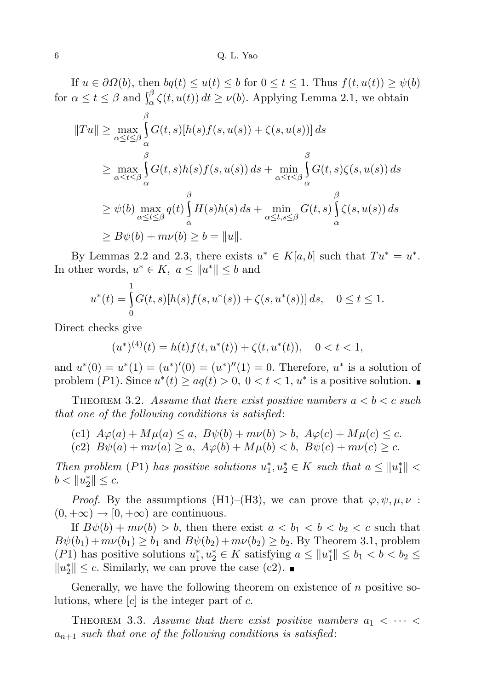If  $u \in \partial \Omega(b)$ , then  $bq(t) \leq u(t) \leq b$  for  $0 \leq t \leq 1$ . Thus  $f(t, u(t)) \geq \psi(b)$ for  $\alpha \le t \le \beta$  and  $\int_{\alpha}^{\beta} \zeta(t, u(t)) dt \ge \nu(b)$ . Applying Lemma 2.1, we obtain

$$
||Tu|| \ge \max_{\alpha \le t \le \beta} \int_{\alpha}^{\beta} G(t,s)[h(s)f(s,u(s)) + \zeta(s,u(s))] ds
$$
  
\n
$$
\ge \max_{\alpha \le t \le \beta} \int_{\alpha}^{\beta} G(t,s)h(s)f(s,u(s)) ds + \min_{\alpha \le t \le \beta} \int_{\alpha}^{\beta} G(t,s)\zeta(s,u(s)) ds
$$
  
\n
$$
\ge \psi(b) \max_{\alpha \le t \le \beta} q(t) \int_{\alpha}^{\beta} H(s)h(s) ds + \min_{\alpha \le t, s \le \beta} G(t,s) \int_{\alpha}^{\beta} \zeta(s,u(s)) ds
$$
  
\n
$$
\ge B\psi(b) + m\nu(b) \ge b = ||u||.
$$

By Lemmas 2.2 and 2.3, there exists  $u^* \in K[a, b]$  such that  $Tu^* = u^*$ . In other words,  $u^* \in K$ ,  $a \leq ||u^*|| \leq b$  and

$$
u^*(t) = \int_0^1 G(t,s)[h(s)f(s,u^*(s)) + \zeta(s,u^*(s))] ds, \quad 0 \le t \le 1.
$$

Direct checks give

$$
(u^*)^{(4)}(t) = h(t)f(t, u^*(t)) + \zeta(t, u^*(t)), \quad 0 < t < 1,
$$

and  $u^*(0) = u^*(1) = (u^*)'(0) = (u^*)''(1) = 0$ . Therefore,  $u^*$  is a solution of problem (P1). Since  $u^*(t) \ge aq(t) > 0$ ,  $0 < t < 1$ ,  $u^*$  is a positive solution.

THEOREM 3.2. Assume that there exist positive numbers  $a < b < c$  such that one of the following conditions is satisfied:

(c1) 
$$
A\varphi(a) + M\mu(a) \le a
$$
,  $B\psi(b) + m\nu(b) > b$ ,  $A\varphi(c) + M\mu(c) \le c$ .

(c2)  $B\psi(a) + m\nu(a) \ge a$ ,  $A\varphi(b) + M\mu(b) < b$ ,  $B\psi(c) + m\nu(c) \ge c$ .

Then problem (P1) has positive solutions  $u_1^*, u_2^* \in K$  such that  $a \leq ||u_1^*|| <$  $b < ||u_2^*|| \leq c.$ 

*Proof.* By the assumptions (H1)–(H3), we can prove that  $\varphi, \psi, \mu, \nu$ :  $(0, +\infty) \rightarrow [0, +\infty)$  are continuous.

If  $B\psi(b) + m\nu(b) > b$ , then there exist  $a < b_1 < b < b_2 < c$  such that  $B\psi(b_1) + m\nu(b_1) \ge b_1$  and  $B\psi(b_2) + m\nu(b_2) \ge b_2$ . By Theorem 3.1, problem (P1) has positive solutions  $u_1^*, u_2^* \in K$  satisfying  $a \le ||u_1^*|| \le b_1 < b < b_2 \le$  $||u_2^*|| \leq c$ . Similarly, we can prove the case (c2).

Generally, we have the following theorem on existence of  $n$  positive solutions, where  $[c]$  is the integer part of c.

THEOREM 3.3. Assume that there exist positive numbers  $a_1 < \cdots <$  $a_{n+1}$  such that one of the following conditions is satisfied: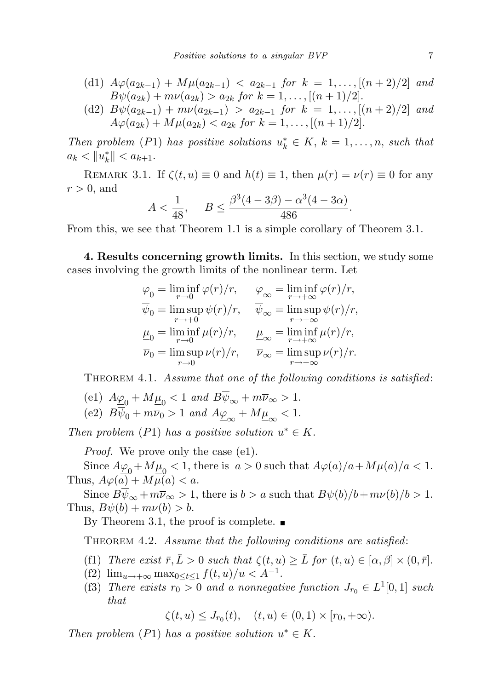(d1) 
$$
A\varphi(a_{2k-1}) + M\mu(a_{2k-1}) < a_{2k-1}
$$
 for  $k = 1, ..., [(n+2)/2]$  and  $B\psi(a_{2k}) + m\nu(a_{2k}) > a_{2k}$  for  $k = 1, ..., [(n+1)/2]$ .

(d2) 
$$
B\psi(a_{2k-1}) + m\nu(a_{2k-1}) > a_{2k-1}
$$
 for  $k = 1, ..., [(n+2)/2]$  and  $A\varphi(a_{2k}) + M\mu(a_{2k}) < a_{2k}$  for  $k = 1, ..., [(n+1)/2]$ .

Then problem (P1) has positive solutions  $u_k^* \in K$ ,  $k = 1, \ldots, n$ , such that  $a_k < ||u_k^*|| < a_{k+1}.$ 

REMARK 3.1. If  $\zeta(t, u) \equiv 0$  and  $h(t) \equiv 1$ , then  $\mu(r) = \nu(r) \equiv 0$  for any  $r > 0$ , and

$$
A < \frac{1}{48}, \quad B \le \frac{\beta^3 (4 - 3\beta) - \alpha^3 (4 - 3\alpha)}{486}.
$$

From this, we see that Theorem 1.1 is a simple corollary of Theorem 3.1.

4. Results concerning growth limits. In this section, we study some cases involving the growth limits of the nonlinear term. Let

$$
\begin{aligned} \underline{\varphi}_0 &= \liminf_{r \to 0} \varphi(r)/r, & \underline{\varphi}_\infty &= \liminf_{r \to +\infty} \varphi(r)/r, \\ \overline{\psi}_0 &= \limsup_{r \to +0} \psi(r)/r, & \overline{\psi}_\infty &= \limsup_{r \to +\infty} \psi(r)/r, \\ \underline{\mu}_0 &= \liminf_{r \to 0} \mu(r)/r, & \underline{\mu}_\infty &= \liminf_{r \to +\infty} \mu(r)/r, \\ \overline{\nu}_0 &= \limsup_{r \to 0} \nu(r)/r, & \overline{\nu}_\infty &= \limsup_{r \to +\infty} \nu(r)/r. \end{aligned}
$$

THEOREM 4.1. Assume that one of the following conditions is satisfied:

(e1)  $A_{\underline{\varphi}_0} + M_{\underline{\mu}_0} < 1$  and  $B\psi_{\infty} + m\overline{\nu}_{\infty} > 1$ . (e2)  $B\psi_0 + m\overline{\nu}_0 > 1$  and  $A\underline{\varphi}_{\infty} + M\underline{\mu}_{\infty} < 1$ .

Then problem (P1) has a positive solution  $u^* \in K$ .

*Proof.* We prove only the case (e1).

Since  $A\mathcal{Q}_0 + M\mathcal{Q}_0 < 1$ , there is  $a > 0$  such that  $A\varphi(a)/a + M\mu(a)/a < 1$ . Thus,  $A\varphi(a) + M\mu(a) < a$ .

Since  $B\overline{\psi}_{\infty} + m\overline{\psi}_{\infty} > 1$ , there is  $b > a$  such that  $B\psi(b)/b + m\nu(b)/b > 1$ . Thus,  $B\psi(b) + m\nu(b) > b$ .

By Theorem 3.1, the proof is complete.  $\blacksquare$ 

THEOREM 4.2. Assume that the following conditions are satisfied:

- (f1) There exist  $\bar{r}, \bar{L} > 0$  such that  $\zeta(t, u) \geq \bar{L}$  for  $(t, u) \in [\alpha, \beta] \times (0, \bar{r}]$ .
- (f2)  $\lim_{u \to +\infty} \max_{0 \le t \le 1} f(t, u)/u < A^{-1}$ .
- (f3) There exists  $r_0 > 0$  and a nonnegative function  $J_{r_0} \in L^1[0,1]$  such that

 $\zeta(t, u) \leq J_{r_0}(t), \quad (t, u) \in (0, 1) \times [r_0, +\infty).$ 

Then problem (P1) has a positive solution  $u^* \in K$ .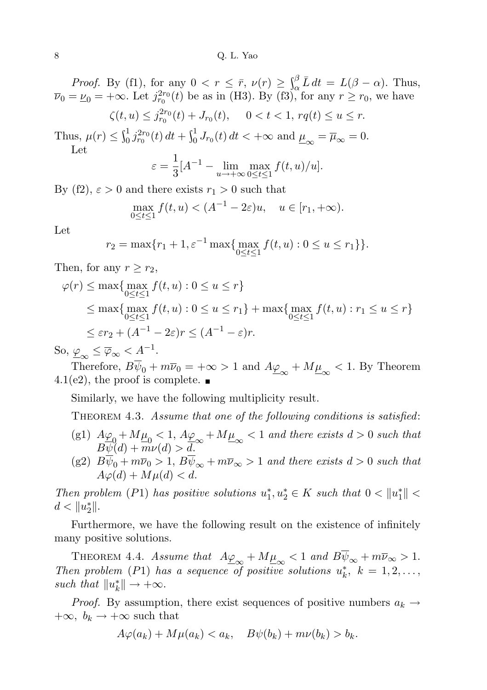*Proof.* By (f1), for any  $0 < r \leq \bar{r}$ ,  $\nu(r) \geq \int_{\alpha}^{\beta} \bar{L} dt = L(\beta - \alpha)$ . Thus,  $\overline{\nu}_0 = \underline{\nu}_0 = +\infty$ . Let  $j_{r_0}^{2r_0}(t)$  be as in (H3). By (f3), for any  $r \ge r_0$ , we have

$$
\zeta(t, u) \le j_{r_0}^{2r_0}(t) + J_{r_0}(t), \quad 0 < t < 1, \, rq(t) \le u \le r.
$$

Thus,  $\mu(r) \leq \int_0^1 j_{r_0}^{2r_0}(t) dt + \int_0^1 J_{r_0}(t) dt < +\infty$  and  $\underline{\mu}_{\infty} = \overline{\mu}_{\infty} = 0$ . Let

$$
\varepsilon = \frac{1}{3} [A^{-1} - \lim_{u \to +\infty} \max_{0 \le t \le 1} f(t, u) / u].
$$

By (f2),  $\varepsilon > 0$  and there exists  $r_1 > 0$  such that

$$
\max_{0 \le t \le 1} f(t, u) < (A^{-1} - 2\varepsilon)u, \quad u \in [r_1, +\infty).
$$

Let

$$
r_2 = \max\{r_1 + 1, \varepsilon^{-1} \max\{\max_{0 \le t \le 1} f(t, u) : 0 \le u \le r_1\}\}.
$$

Then, for any  $r \geq r_2$ ,

$$
\varphi(r) \le \max\{ \max_{0 \le t \le 1} f(t, u) : 0 \le u \le r \}
$$
  
\n
$$
\le \max\{ \max_{0 \le t \le 1} f(t, u) : 0 \le u \le r_1 \} + \max\{ \max_{0 \le t \le 1} f(t, u) : r_1 \le u \le r \}
$$
  
\n
$$
\le \varepsilon r_2 + (A^{-1} - 2\varepsilon)r \le (A^{-1} - \varepsilon)r.
$$

So,  $\underline{\varphi}_{\infty} \leq \overline{\varphi}_{\infty} < \underline{A}^{-1}$ .

Therefore,  $B\psi_0 + m\overline{\nu}_0 = +\infty > 1$  and  $A\underline{\varphi}_{\infty} + M\underline{\mu}_{\infty} < 1$ . By Theorem 4.1(e2), the proof is complete.  $\blacksquare$ 

Similarly, we have the following multiplicity result.

THEOREM 4.3. Assume that one of the following conditions is satisfied:

- (g1)  $A\varphi_0 + M\mu_0 < 1, A\varphi_\infty + M\mu_\infty < 1$  and there exists  $d > 0$  such that  $B\psi(d) + m\nu(d) > d.$
- (g2)  $B\psi_0 + m\overline{\nu}_0 > 1$ ,  $B\psi_\infty + m\overline{\nu}_\infty > 1$  and there exists  $d > 0$  such that  $A\varphi(d) + M\mu(d) < d.$

Then problem (P1) has positive solutions  $u_1^*, u_2^* \in K$  such that  $0 < ||u_1^*|| <$  $d < ||u_2^*||.$ 

Furthermore, we have the following result on the existence of infinitely many positive solutions.

THEOREM 4.4. Assume that  $A\underline{\varphi}_{\infty} + M\underline{\mu}_{\infty} < 1$  and  $B\overline{\psi}_{\infty} + m\overline{\nu}_{\infty} > 1$ . Then problem (P1) has a sequence of positive solutions  $u_k^*$ ,  $k = 1, 2, \ldots$ , such that  $||u_k^*|| \to +\infty$ .

*Proof.* By assumption, there exist sequences of positive numbers  $a_k \rightarrow$  $+\infty$ ,  $b_k \rightarrow +\infty$  such that

$$
A\varphi(a_k) + M\mu(a_k) < a_k, \quad B\psi(b_k) + m\nu(b_k) > b_k.
$$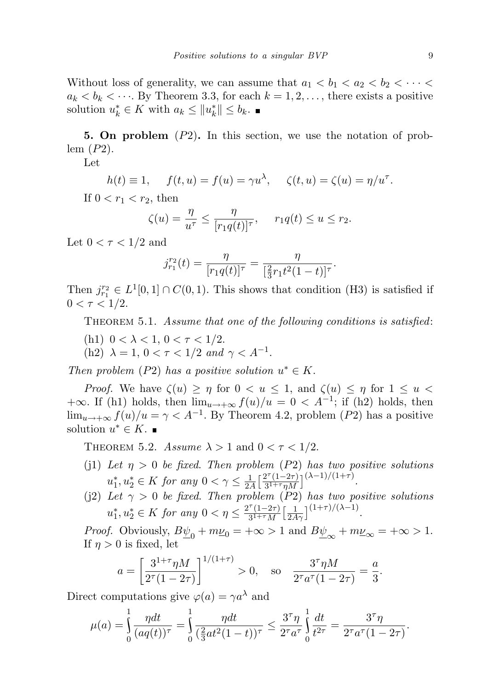Without loss of generality, we can assume that  $a_1 < b_1 < a_2 < b_2 < \cdots <$  $a_k < b_k < \cdots$ . By Theorem 3.3, for each  $k = 1, 2, \ldots$ , there exists a positive solution  $u_k^* \in K$  with  $a_k \leq ||u_k^*|| \leq b_k$ .

5. On problem (P2). In this section, we use the notation of problem  $(P2)$ .

Let

$$
h(t) \equiv 1, \quad f(t, u) = f(u) = \gamma u^{\lambda}, \quad \zeta(t, u) = \zeta(u) = \eta/u^{\tau}.
$$

If  $0 < r_1 < r_2$ , then

$$
\zeta(u) = \frac{\eta}{u^{\tau}} \le \frac{\eta}{[r_1 q(t)]^{\tau}}, \quad r_1 q(t) \le u \le r_2.
$$

Let  $0 < \tau < 1/2$  and

$$
j_{r_1}^{r_2}(t) = \frac{\eta}{[r_1 q(t)]^{\tau}} = \frac{\eta}{[\frac{2}{3}r_1 t^2 (1-t)]^{\tau}}.
$$

Then  $j_{r_1}^{r_2} \in L^1[0,1] \cap C(0,1)$ . This shows that condition (H3) is satisfied if  $0 < \tau < 1/2$ .

THEOREM 5.1. Assume that one of the following conditions is satisfied:

- (h1)  $0 < \lambda < 1, 0 < \tau < 1/2$ .
- (h2)  $\lambda = 1, 0 < \tau < 1/2$  and  $\gamma < A^{-1}$ .

Then problem (P2) has a positive solution  $u^* \in K$ .

*Proof.* We have  $\zeta(u) \geq \eta$  for  $0 < u \leq 1$ , and  $\zeta(u) \leq \eta$  for  $1 \leq u < \zeta$ +∞. If (h1) holds, then  $\lim_{u\to+\infty} f(u)/u = 0 < A^{-1}$ ; if (h2) holds, then  $\lim_{u\to+\infty} f(u)/u = \gamma < A^{-1}$ . By Theorem 4.2, problem (P2) has a positive solution  $u^* \in K$ .

THEOREM 5.2. Assume  $\lambda > 1$  and  $0 < \tau < 1/2$ .

- (j1) Let  $\eta > 0$  be fixed. Then problem (P2) has two positive solutions  $u_1^*, u_2^* \in K$  for any  $0 < \gamma \leq \frac{1}{2\lambda}$  $\frac{1}{2A} \left[ \frac{2^{\tau} (1 - 2\tau)}{3^{1+\tau} \eta M} \right]$  $\frac{2^{\tau}(1-2\tau)}{3^{1+\tau}\eta M}\Big]^{(\lambda-1)/(1+\tau)}.$
- (j2) Let  $\gamma > 0$  be fixed. Then problem (P2) has two positive solutions  $u_1^*, u_2^* \in K$  for any  $0 < \eta \leq \frac{2^{\tau}(1-2\tau)}{3^{1+\tau}M}$  $\frac{\tau(1-2\tau)}{3^{1+\tau}M} \left[\frac{1}{2A\gamma}\right]^{(1+\tau)/(\lambda-1)}.$

*Proof.* Obviously,  $B_{\underline{\psi}_0} + m\underline{\psi}_0 = +\infty > 1$  and  $B_{\underline{\psi}_\infty} + m\underline{\psi}_\infty = +\infty > 1$ . If  $n > 0$  is fixed, let

$$
a = \left[\frac{3^{1+\tau}\eta M}{2^{\tau}(1-2\tau)}\right]^{1/(1+\tau)} > 0
$$
, so  $\frac{3^{\tau}\eta M}{2^{\tau}a^{\tau}(1-2\tau)} = \frac{a}{3}$ .

Direct computations give  $\varphi(a) = \gamma a^{\lambda}$  and

$$
\mu(a) = \int_0^1 \frac{\eta dt}{(aq(t))^\tau} = \int_0^1 \frac{\eta dt}{(\frac{2}{3}at^2(1-t))^\tau} \le \frac{3^\tau \eta}{2^\tau a^\tau} \int_0^1 \frac{dt}{t^{2\tau}} = \frac{3^\tau \eta}{2^\tau a^\tau (1-2\tau)}.
$$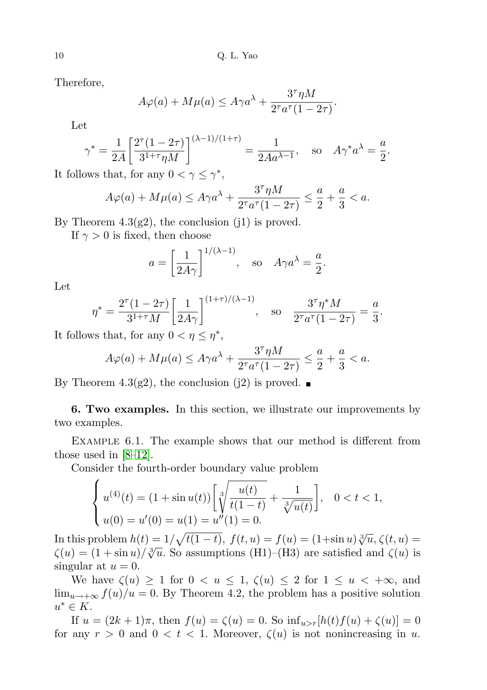Therefore,

$$
A\varphi(a) + M\mu(a) \le A\gamma a^{\lambda} + \frac{3^{\tau}\eta M}{2^{\tau}a^{\tau}(1 - 2\tau)}.
$$

Let

$$
\gamma^* = \frac{1}{2A} \left[ \frac{2^{\tau} (1 - 2\tau)}{3^{1+\tau} \eta M} \right]^{(\lambda - 1)/(1+\tau)} = \frac{1}{2Aa^{\lambda - 1}}, \text{ so } A\gamma^* a^{\lambda} = \frac{a}{2}.
$$

It follows that, for any  $0 < \gamma \leq \gamma^*$ ,

$$
A\varphi(a) + M\mu(a) \le A\gamma a^{\lambda} + \frac{3^{\tau}\eta M}{2^{\tau}a^{\tau}(1 - 2\tau)} \le \frac{a}{2} + \frac{a}{3} < a.
$$

By Theorem  $4.3(g2)$ , the conclusion (j1) is proved.

If  $\gamma > 0$  is fixed, then choose

$$
a = \left[\frac{1}{2A\gamma}\right]^{1/(\lambda-1)}, \text{ so } A\gamma a^{\lambda} = \frac{a}{2}.
$$

Let

$$
\eta^* = \frac{2^{\tau} (1 - 2\tau)}{3^{1+\tau} M} \left[ \frac{1}{2A\gamma} \right]^{(1+\tau)/(\lambda-1)}, \text{ so } \frac{3^{\tau} \eta^* M}{2^{\tau} a^{\tau} (1 - 2\tau)} = \frac{a}{3}.
$$

It follows that, for any  $0 < \eta \leq \eta^*$ ,

$$
A\varphi(a) + M\mu(a) \le A\gamma a^{\lambda} + \frac{3^{\tau}\eta M}{2^{\tau}a^{\tau}(1 - 2\tau)} \le \frac{a}{2} + \frac{a}{3} < a.
$$

By Theorem 4.3(g2), the conclusion (j2) is proved.  $\blacksquare$ 

6. Two examples. In this section, we illustrate our improvements by two examples.

Example 6.1. The example shows that our method is different from those used in [\[8–](#page-11-9)[12\]](#page-11-10).

Consider the fourth-order boundary value problem

$$
\begin{cases} u^{(4)}(t) = (1 + \sin u(t)) \left[ \sqrt[3]{\frac{u(t)}{t(1-t)}} + \frac{1}{\sqrt[3]{u(t)}} \right], & 0 < t < 1, \\ u(0) = u'(0) = u(1) = u''(1) = 0. \end{cases}
$$

In this problem  $h(t) = 1/\sqrt{t(1-t)}$ ,  $f(t, u) = f(u) = (1+\sin u)\sqrt[3]{u}$ ,  $\zeta(t, u) =$ In this problem  $h(t) = 1/\sqrt{t(1-t)}$ ,  $f(t, u) = f(u) = (1+\sin u)\sqrt{u}$ ,  $\zeta(t, u) =$ <br> $\zeta(u) = (1+\sin u)/\sqrt[3]{u}$ . So assumptions (H1)–(H3) are satisfied and  $\zeta(u)$  is singular at  $u = 0$ .

We have  $\zeta(u) \geq 1$  for  $0 < u \leq 1$ ,  $\zeta(u) \leq 2$  for  $1 \leq u < +\infty$ , and  $\lim_{u\to+\infty} f(u)/u = 0$ . By Theorem 4.2, the problem has a positive solution  $u^* \in K$ .

If  $u = (2k+1)\pi$ , then  $f(u) = \zeta(u) = 0$ . So  $\inf_{u > r} [h(t)f(u) + \zeta(u)] = 0$ for any  $r > 0$  and  $0 < t < 1$ . Moreover,  $\zeta(u)$  is not nonincreasing in u.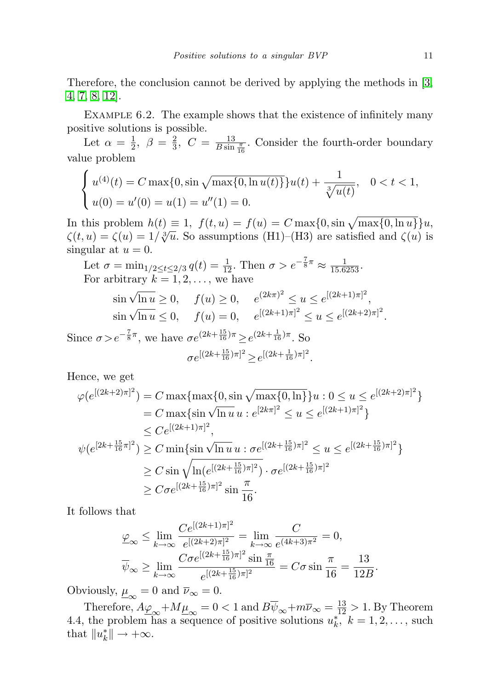Therefore, the conclusion cannot be derived by applying the methods in [\[3,](#page-11-6) [4,](#page-11-7) [7,](#page-11-8) [8,](#page-11-9) [12\]](#page-11-10).

Example 6.2. The example shows that the existence of infinitely many positive solutions is possible.

Let  $\alpha = \frac{1}{2}$  $\frac{1}{2}, \ \beta = \frac{2}{3}$  $\frac{2}{3}$ ,  $C = \frac{13}{B \sin \frac{\pi}{16}}$ . Consider the fourth-order boundary value problem

$$
\begin{cases} u^{(4)}(t) = C \max\{0, \sin \sqrt{\max\{0, \ln u(t)\}}\} u(t) + \frac{1}{\sqrt[3]{u(t)}}, & 0 < t < 1, \\ u(0) = u'(0) = u(1) = u''(1) = 0. \end{cases}
$$

In this problem  $h(t) \equiv 1$ ,  $f(t, u) = f(u) = C \max\{0, \sin \sqrt{\max\{0, \ln u\}}\}u$ , In this problem  $h(t) = 1$ ,  $f(t, u) - f(u) = C \max\{0, \sin \sqrt{\max\{0, \ln u\}}\}$ <br>  $\zeta(t, u) = \zeta(u) = 1/\sqrt[3]{u}$ . So assumptions (H1)–(H3) are satisfied and  $\zeta(u)$  is singular at  $u = 0$ .

Let  $\sigma = \min_{1/2 \le t \le 2/3} q(t) = \frac{1}{12}$ . Then  $\sigma > e^{-\frac{7}{8}\pi} \approx \frac{1}{15.6253}$ . For arbitrary  $k = 1, 2, \ldots$ , we have

$$
\sin \sqrt{\ln u} \ge 0, \quad f(u) \ge 0, \quad e^{(2k\pi)^2} \le u \le e^{[(2k+1)\pi]^2},
$$
  

$$
\sin \sqrt{\ln u} \le 0, \quad f(u) = 0, \quad e^{[(2k+1)\pi]^2} \le u \le e^{[(2k+2)\pi]^2}.
$$

Since  $\sigma > e^{-\frac{7}{8}\pi}$ , we have  $\sigma e^{(2k+\frac{15}{16})\pi} \geq e^{(2k+\frac{1}{16})\pi}$ . So  $\sigma e^{[(2k+\frac{15}{16})\pi]^2} \geq e^{[(2k+\frac{1}{16})\pi]^2}.$ 

Hence, we get

$$
\varphi(e^{[(2k+2)\pi]^2}) = C \max\{\max\{0, \sin\sqrt{\max\{0, \ln\}}\}u : 0 \le u \le e^{[(2k+2)\pi]^2}\}
$$
  
\n
$$
= C \max\{\sin\sqrt{\ln u} u : e^{[2k\pi]^2} \le u \le e^{[(2k+1)\pi]^2}\}
$$
  
\n
$$
\le C e^{[(2k+1)\pi]^2},
$$
  
\n
$$
\psi(e^{[2k+\frac{15}{16}\pi]^2}) \ge C \min\{\sin\sqrt{\ln u} u : \sigma e^{[(2k+\frac{15}{16})\pi]^2} \le u \le e^{[(2k+\frac{15}{16})\pi]^2}\}
$$
  
\n
$$
\ge C \sin\sqrt{\ln(e^{[(2k+\frac{15}{16})\pi]^2})} \cdot \sigma e^{[(2k+\frac{15}{16})\pi]^2}
$$
  
\n
$$
\ge C \sigma e^{[(2k+\frac{15}{16})\pi]^2} \sin\frac{\pi}{16}.
$$

It follows that

$$
\varphi_{\infty} \le \lim_{k \to \infty} \frac{Ce^{[(2k+1)\pi]^2}}{e^{[(2k+2)\pi]^2}} = \lim_{k \to \infty} \frac{C}{e^{(4k+3)\pi^2}} = 0,
$$
  

$$
\overline{\psi}_{\infty} \ge \lim_{k \to \infty} \frac{Ce^{[(2k+\frac{15}{16})\pi]^2} \sin \frac{\pi}{16}}{e^{[(2k+\frac{15}{16})\pi]^2}} = C\sigma \sin \frac{\pi}{16} = \frac{13}{12B}.
$$

Obviously,  $\underline{\mu}_{\infty} = 0$  and  $\overline{\nu}_{\infty} = 0$ .

Therefore,  $A\underline{\varphi}_{\infty}+M\underline{\mu}_{\infty}=0<1$  and  $B\overline{\psi}_{\infty}+m\overline{\nu}_{\infty}=\frac{13}{12}>1$ . By Theorem 4.4, the problem has a sequence of positive solutions  $u_k^*$ ,  $k = 1, 2, \ldots$ , such that  $||u_k^*|| \to +\infty$ .